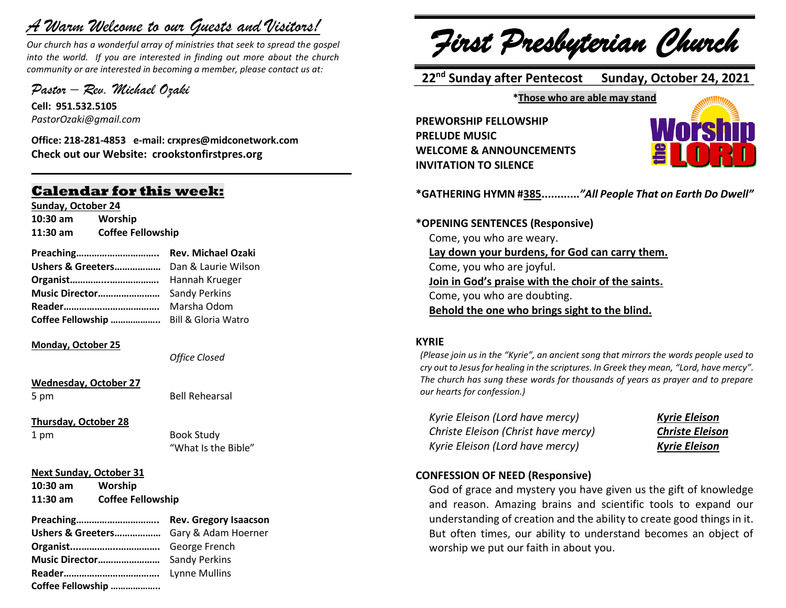# *A Warm Welcome to our Guests and Visitors!*

*Our church has a wonderful array of ministries that seek to spread the gospel into the world. If you are interested in finding out more about the church community or are interested in becoming a member, please contact us at:*

**\_\_\_\_\_\_\_\_\_\_\_\_\_\_\_\_\_\_\_\_\_\_\_\_\_\_\_\_\_\_\_\_\_\_\_\_\_\_\_\_\_\_\_\_\_\_\_\_\_\_\_\_\_\_**

*Pastor – Rev. Michael Ozaki* 

**Cell: 951.532.5105** *PastorOzaki@gmail.com*

**Office: 218-281-4853 e-mail: crxpres@midconetwork.com Check out our Website: crookstonfirstpres.org**

# **Calendar for this week:**

**Sunday, October 24 10:30 am Worship 11:30 am Coffee Fellowship**

| Preaching                             | <b>Rev. Michael Ozaki</b> |  |
|---------------------------------------|---------------------------|--|
| Ushers & Greeters Dan & Laurie Wilson |                           |  |
|                                       |                           |  |
| <b>Music Director</b> Sandy Perkins   |                           |  |

**Reader……………………………….** Marsha Odom **Coffee Fellowship ………………..** Bill & Gloria Watro

#### **Monday, October 25**

*Office Closed*

**Wednesday, October 27** 5 pm Bell Rehearsal

**Thursday, October 28**

1 pm Book Study "What Is the Bible"

#### **Next Sunday, October 31**

**10:30 am Worship 11:30 am Coffee Fellowship** 

**Preaching………………………….. Rev. Gregory Isaacson Ushers & Greeters………………** Gary & Adam Hoerner **Organist....…………..…………….** George French **Music Director……………………** Sandy Perkins **Reader……………………………….** Lynne Mullins **Coffee Fellowship ………………..**

*First Presbyterian Church*

 **22 nd Sunday after Pentecost Sunday, October 24, 2021**

**\*Those who are able may stand**

**PREWORSHIP FELLOWSHIP PRELUDE MUSIC WELCOME & ANNOUNCEMENTS INVITATION TO SILENCE**



**\*GATHERING HYMN #385............***"All People That on Earth Do Dwell"*

#### **\*OPENING SENTENCES (Responsive)**

Come, you who are weary. **Lay down your burdens, for God can carry them.** Come, you who are joyful. **Join in God's praise with the choir of the saints.** Come, you who are doubting. **Behold the one who brings sight to the blind.**

#### **KYRIE**

*(Please join us in the "Kyrie", an ancient song that mirrors the words people used to cry out to Jesus for healing in the scriptures. In Greek they mean, "Lord, have mercy". The church has sung these words for thousands of years as prayer and to prepare our hearts for confession.)*

*Kyrie Eleison (Lord have mercy) Kyrie Eleison Christe Eleison (Christ have mercy) Christe Eleison Kyrie Eleison (Lord have mercy) Kyrie Eleison*

#### **CONFESSION OF NEED (Responsive)**

God of grace and mystery you have given us the gift of knowledge and reason. Amazing brains and scientific tools to expand our understanding of creation and the ability to create good things in it. But often times, our ability to understand becomes an object of worship we put our faith in about you.